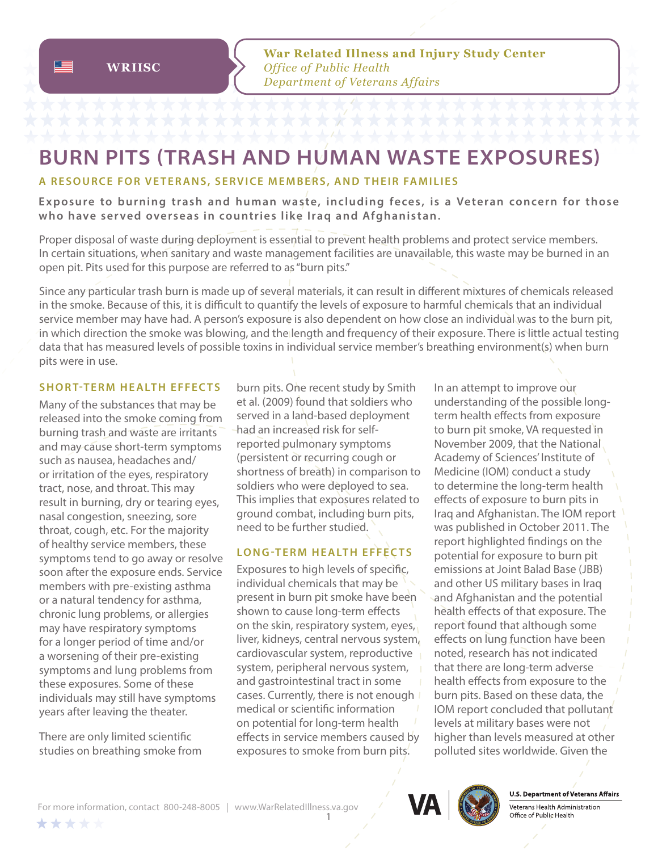# **BURN PITS (TRASH AND HUMAN WASTE EXPOSURES)**

## **A RESOURCE FOR VETERANS, SERVICE MEMBERS, AND THEIR FAMILIES**

**E xp osure to burning trash and human waste, including fe ces , is a Veteran concern for those who have served overseas in countries like Iraq and Afghanistan.**

Proper disposal of waste during deployment is essential to prevent health problems and protect service members. In certain situations, when sanitary and waste management facilities are unavailable, this waste may be burned in an open pit. Pits used for this purpose are referred to as "burn pits."

Since any particular trash burn is made up of several materials, it can result in different mixtures of chemicals released in the smoke. Because of this, it is difficult to quantify the levels of exposure to harmful chemicals that an individual service member may have had. A person's exposure is also dependent on how close an individual was to the burn pit, in which direction the smoke was blowing, and the length and frequency of their exposure. There is little actual testing data that has measured levels of possible toxins in individual service member's breathing environment(s) when burn pits were in use.

#### **SHORT-TERM HEALTH EFFECTS**

Many of the substances that may be released into the smoke coming from burning trash and waste are irritants and may cause short-term symptoms such as nausea, headaches and/ or irritation of the eyes, respiratory tract, nose, and throat. This may result in burning, dry or tearing eyes, nasal congestion, sneezing, sore throat, cough, etc. For the majority of healthy service members, these symptoms tend to go away or resolve soon after the exposure ends. Service members with pre-existing asthma or a natural tendency for asthma, chronic lung problems, or allergies may have respiratory symptoms for a longer period of time and/or a worsening of their pre-existing symptoms and lung problems from these exposures. Some of these individuals may still have symptoms years after leaving the theater.

There are only limited scientific studies on breathing smoke from burn pits. One recent study by Smith et al. (2009) found that soldiers who served in a land-based deployment had an increased risk for selfreported pulmonary symptoms (persistent or recurring cough or shortness of breath) in comparison to soldiers who were deployed to sea. This implies that exposures related to ground combat, including burn pits, need to be further studied.

## **LONG-TERM HEALTH EFFECTS**

Exposures to high levels of specific, individual chemicals that may be present in burn pit smoke have been shown to cause long-term effects on the skin, respiratory system, eyes, liver, kidneys, central nervous system, cardiovascular system, reproductive system, peripheral nervous system, and gastrointestinal tract in some cases. Currently, there is not enough medical or scientific information on potential for long-term health effects in service members caused by exposures to smoke from burn pits.

In an attempt to improve our understanding of the possible longterm health effects from exposure to burn pit smoke, VA requested in November 2009, that the National Academy of Sciences' Institute of Medicine (IOM) conduct a study to determine the long-term health effects of exposure to burn pits in Iraq and Afghanistan. The IOM report was published in October 2011. The report highlighted findings on the potential for exposure to burn pit emissions at Joint Balad Base (JBB) and other US military bases in Iraq and Afghanistan and the potential health effects of that exposure. The report found that although some effects on lung function have been noted, research has not indicated that there are long-term adverse health effects from exposure to the burn pits. Based on these data, the IOM report concluded that pollutant levels at military bases were not higher than levels measured at other polluted sites worldwide. Given the

> **U.S. Department of Veterans Affairs** Veterans Health Administration Office of Public Health